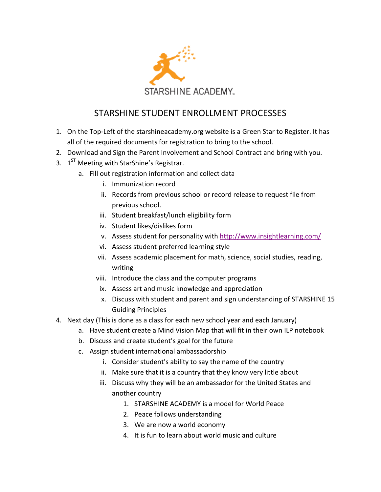

## STARSHINE STUDENT ENROLLMENT PROCESSES

- 1. On the Top-Left of the starshineacademy.org website is a Green Star to Register. It has all of the required documents for registration to bring to the school.
- 2. Download and Sign the Parent Involvement and School Contract and bring with you.
- 3. 1<sup>ST</sup> Meeting with StarShine's Registrar.
	- a. Fill out registration information and collect data
		- i. Immunization record
		- ii. Records from previous school or record release to request file from previous school.
		- iii. Student breakfast/lunch eligibility form
		- iv. Student likes/dislikes form
		- v. Assess student for personality with<http://www.insightlearning.com/>
		- vi. Assess student preferred learning style
		- vii. Assess academic placement for math, science, social studies, reading, writing
		- viii. Introduce the class and the computer programs
		- ix. Assess art and music knowledge and appreciation
		- x. Discuss with student and parent and sign understanding of STARSHINE 15 Guiding Principles
- 4. Next day (This is done as a class for each new school year and each January)
	- a. Have student create a Mind Vision Map that will fit in their own ILP notebook
	- b. Discuss and create student's goal for the future
	- c. Assign student international ambassadorship
		- i. Consider student's ability to say the name of the country
		- ii. Make sure that it is a country that they know very little about
		- iii. Discuss why they will be an ambassador for the United States and another country
			- 1. STARSHINE ACADEMY is a model for World Peace
			- 2. Peace follows understanding
			- 3. We are now a world economy
			- 4. It is fun to learn about world music and culture